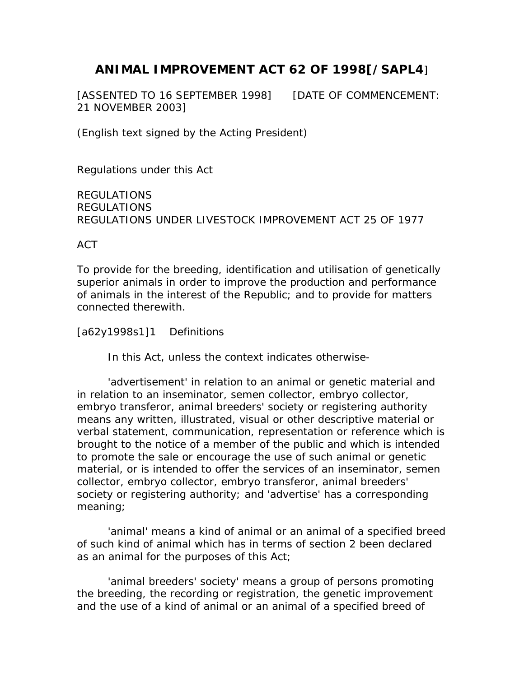# **ANIMAL IMPROVEMENT ACT 62 OF 1998[/SAPL4**]

[ASSENTED TO 16 SEPTEMBER 1998] [DATE OF COMMENCEMENT: 21 NOVEMBER 2003]

(English text signed by the Acting President)

Regulations under this Act

REGULATIONS REGULATIONS REGULATIONS UNDER LIVESTOCK IMPROVEMENT ACT 25 OF 1977

ACT

To provide for the breeding, identification and utilisation of genetically superior animals in order to improve the production and performance of animals in the interest of the Republic; and to provide for matters connected therewith.

[a62y1998s1]1 Definitions

In this Act, unless the context indicates otherwise-

 'advertisement' in relation to an animal or genetic material and in relation to an inseminator, semen collector, embryo collector, embryo transferor, animal breeders' society or registering authority means any written, illustrated, visual or other descriptive material or verbal statement, communication, representation or reference which is brought to the notice of a member of the public and which is intended to promote the sale or encourage the use of such animal or genetic material, or is intended to offer the services of an inseminator, semen collector, embryo collector, embryo transferor, animal breeders' society or registering authority; and 'advertise' has a corresponding meaning;

 'animal' means a kind of animal or an animal of a specified breed of such kind of animal which has in terms of section 2 been declared as an animal for the purposes of this Act;

 'animal breeders' society' means a group of persons promoting the breeding, the recording or registration, the genetic improvement and the use of a kind of animal or an animal of a specified breed of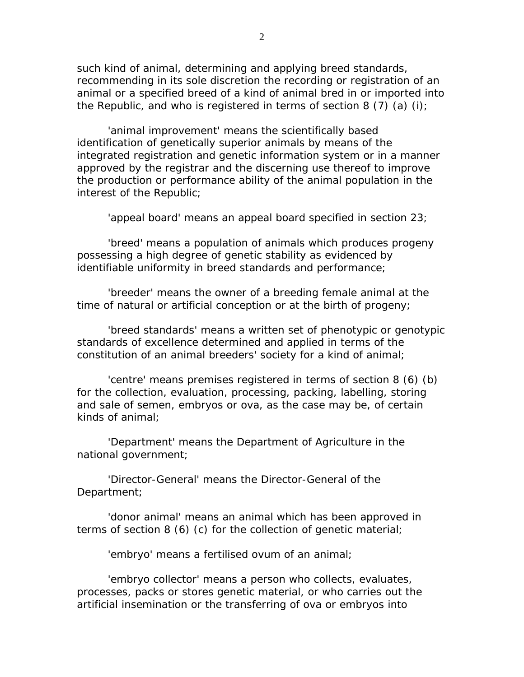such kind of animal, determining and applying breed standards, recommending in its sole discretion the recording or registration of an animal or a specified breed of a kind of animal bred in or imported into the Republic, and who is registered in terms of section 8 (7) (a) (i);

 'animal improvement' means the scientifically based identification of genetically superior animals by means of the integrated registration and genetic information system or in a manner approved by the registrar and the discerning use thereof to improve the production or performance ability of the animal population in the interest of the Republic;

'appeal board' means an appeal board specified in section 23;

 'breed' means a population of animals which produces progeny possessing a high degree of genetic stability as evidenced by identifiable uniformity in breed standards and performance;

 'breeder' means the owner of a breeding female animal at the time of natural or artificial conception or at the birth of progeny;

 'breed standards' means a written set of phenotypic or genotypic standards of excellence determined and applied in terms of the constitution of an animal breeders' society for a kind of animal;

 'centre' means premises registered in terms of section 8 (6) (b) for the collection, evaluation, processing, packing, labelling, storing and sale of semen, embryos or ova, as the case may be, of certain kinds of animal;

 'Department' means the Department of Agriculture in the national government;

 'Director-General' means the Director-General of the Department;

 'donor animal' means an animal which has been approved in terms of section 8 (6) (c) for the collection of genetic material;

'embryo' means a fertilised ovum of an animal;

 'embryo collector' means a person who collects, evaluates, processes, packs or stores genetic material, or who carries out the artificial insemination or the transferring of ova or embryos into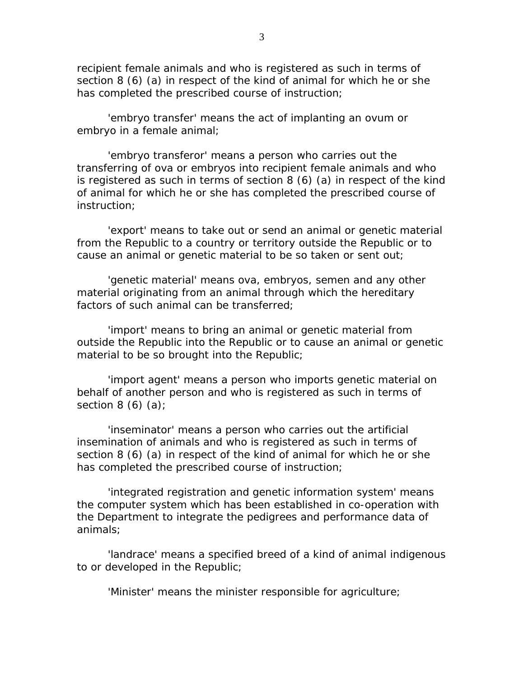recipient female animals and who is registered as such in terms of section 8 (6) (a) in respect of the kind of animal for which he or she has completed the prescribed course of instruction;

 'embryo transfer' means the act of implanting an ovum or embryo in a female animal;

 'embryo transferor' means a person who carries out the transferring of ova or embryos into recipient female animals and who is registered as such in terms of section 8 (6) (a) in respect of the kind of animal for which he or she has completed the prescribed course of instruction;

 'export' means to take out or send an animal or genetic material from the Republic to a country or territory outside the Republic or to cause an animal or genetic material to be so taken or sent out;

 'genetic material' means ova, embryos, semen and any other material originating from an animal through which the hereditary factors of such animal can be transferred;

 'import' means to bring an animal or genetic material from outside the Republic into the Republic or to cause an animal or genetic material to be so brought into the Republic;

 'import agent' means a person who imports genetic material on behalf of another person and who is registered as such in terms of section  $8(6)(a)$ ;

 'inseminator' means a person who carries out the artificial insemination of animals and who is registered as such in terms of section 8 (6) (a) in respect of the kind of animal for which he or she has completed the prescribed course of instruction;

 'integrated registration and genetic information system' means the computer system which has been established in co-operation with the Department to integrate the pedigrees and performance data of animals;

 'landrace' means a specified breed of a kind of animal indigenous to or developed in the Republic;

'Minister' means the minister responsible for agriculture;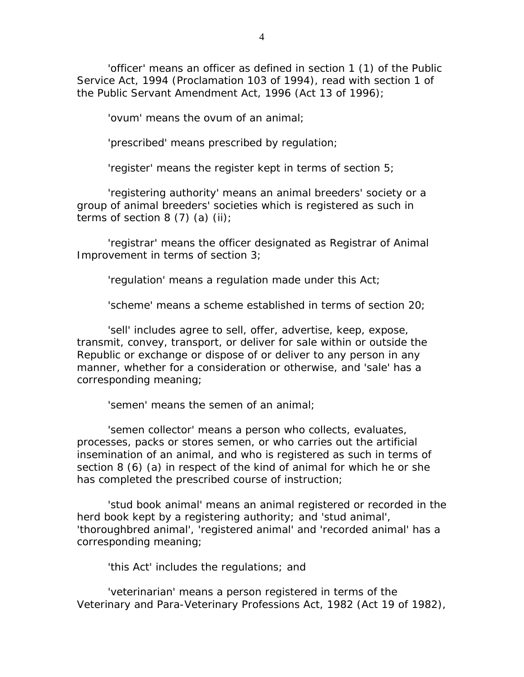'officer' means an officer as defined in section 1 (1) of the Public Service Act, 1994 (Proclamation 103 of 1994), read with section 1 of the Public Servant Amendment Act, 1996 (Act 13 of 1996);

'ovum' means the ovum of an animal;

'prescribed' means prescribed by regulation;

'register' means the register kept in terms of section 5;

 'registering authority' means an animal breeders' society or a group of animal breeders' societies which is registered as such in terms of section 8  $(7)$   $(a)$   $(ii)$ ;

 'registrar' means the officer designated as Registrar of Animal Improvement in terms of section 3;

'regulation' means a regulation made under this Act;

'scheme' means a scheme established in terms of section 20;

 'sell' includes agree to sell, offer, advertise, keep, expose, transmit, convey, transport, or deliver for sale within or outside the Republic or exchange or dispose of or deliver to any person in any manner, whether for a consideration or otherwise, and 'sale' has a corresponding meaning;

'semen' means the semen of an animal;

 'semen collector' means a person who collects, evaluates, processes, packs or stores semen, or who carries out the artificial insemination of an animal, and who is registered as such in terms of section 8 (6) (a) in respect of the kind of animal for which he or she has completed the prescribed course of instruction;

 'stud book animal' means an animal registered or recorded in the herd book kept by a registering authority; and 'stud animal', 'thoroughbred animal', 'registered animal' and 'recorded animal' has a corresponding meaning;

'this Act' includes the regulations; and

 'veterinarian' means a person registered in terms of the Veterinary and Para-Veterinary Professions Act, 1982 (Act 19 of 1982),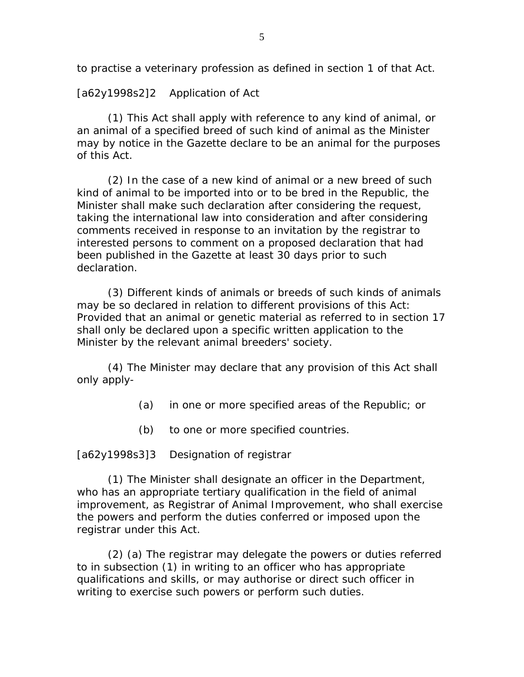to practise a veterinary profession as defined in section 1 of that Act.

[a62y1998s2]2 Application of Act

 (1) This Act shall apply with reference to any kind of animal, or an animal of a specified breed of such kind of animal as the Minister may by notice in the Gazette declare to be an animal for the purposes of this Act.

 (2) In the case of a new kind of animal or a new breed of such kind of animal to be imported into or to be bred in the Republic, the Minister shall make such declaration after considering the request, taking the international law into consideration and after considering comments received in response to an invitation by the registrar to interested persons to comment on a proposed declaration that had been published in the Gazette at least 30 days prior to such declaration.

 (3) Different kinds of animals or breeds of such kinds of animals may be so declared in relation to different provisions of this Act: Provided that an animal or genetic material as referred to in section 17 shall only be declared upon a specific written application to the Minister by the relevant animal breeders' society.

 (4) The Minister may declare that any provision of this Act shall only apply-

- (a) in one or more specified areas of the Republic; or
- (b) to one or more specified countries.

[a62y1998s3]3 Designation of registrar

 (1) The Minister shall designate an officer in the Department, who has an appropriate tertiary qualification in the field of animal improvement, as Registrar of Animal Improvement, who shall exercise the powers and perform the duties conferred or imposed upon the registrar under this Act.

 (2) (a) The registrar may delegate the powers or duties referred to in subsection (1) in writing to an officer who has appropriate qualifications and skills, or may authorise or direct such officer in writing to exercise such powers or perform such duties.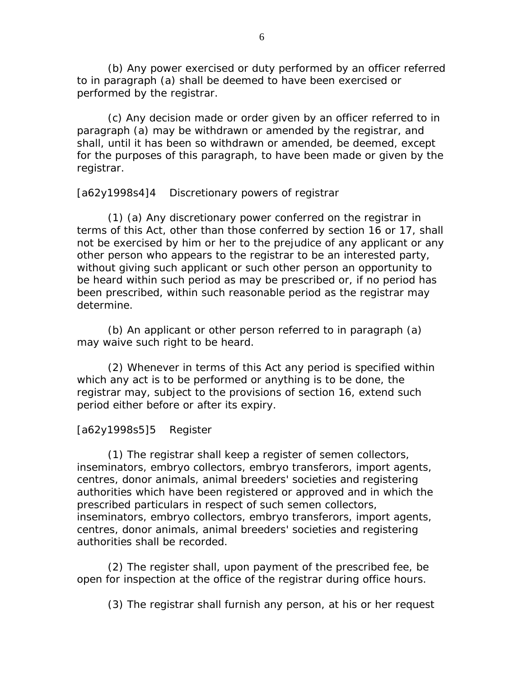(b) Any power exercised or duty performed by an officer referred to in paragraph (a) shall be deemed to have been exercised or performed by the registrar.

 (c) Any decision made or order given by an officer referred to in paragraph (a) may be withdrawn or amended by the registrar, and shall, until it has been so withdrawn or amended, be deemed, except for the purposes of this paragraph, to have been made or given by the registrar.

[a62y1998s4]4 Discretionary powers of registrar

 (1) (a) Any discretionary power conferred on the registrar in terms of this Act, other than those conferred by section 16 or 17, shall not be exercised by him or her to the prejudice of any applicant or any other person who appears to the registrar to be an interested party, without giving such applicant or such other person an opportunity to be heard within such period as may be prescribed or, if no period has been prescribed, within such reasonable period as the registrar may determine.

 (b) An applicant or other person referred to in paragraph (a) may waive such right to be heard.

 (2) Whenever in terms of this Act any period is specified within which any act is to be performed or anything is to be done, the registrar may, subject to the provisions of section 16, extend such period either before or after its expiry.

# [a62y1998s5]5 Register

 (1) The registrar shall keep a register of semen collectors, inseminators, embryo collectors, embryo transferors, import agents, centres, donor animals, animal breeders' societies and registering authorities which have been registered or approved and in which the prescribed particulars in respect of such semen collectors, inseminators, embryo collectors, embryo transferors, import agents, centres, donor animals, animal breeders' societies and registering authorities shall be recorded.

 (2) The register shall, upon payment of the prescribed fee, be open for inspection at the office of the registrar during office hours.

(3) The registrar shall furnish any person, at his or her request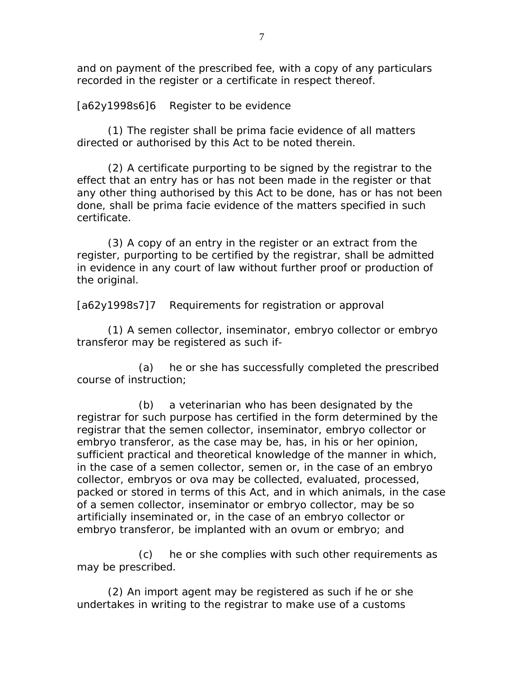and on payment of the prescribed fee, with a copy of any particulars recorded in the register or a certificate in respect thereof.

[a62y1998s6]6 Register to be evidence

 (1) The register shall be prima facie evidence of all matters directed or authorised by this Act to be noted therein.

 (2) A certificate purporting to be signed by the registrar to the effect that an entry has or has not been made in the register or that any other thing authorised by this Act to be done, has or has not been done, shall be prima facie evidence of the matters specified in such certificate.

 (3) A copy of an entry in the register or an extract from the register, purporting to be certified by the registrar, shall be admitted in evidence in any court of law without further proof or production of the original.

[a62y1998s7]7 Requirements for registration or approval

 (1) A semen collector, inseminator, embryo collector or embryo transferor may be registered as such if-

 (a) he or she has successfully completed the prescribed course of instruction;

 (b) a veterinarian who has been designated by the registrar for such purpose has certified in the form determined by the registrar that the semen collector, inseminator, embryo collector or embryo transferor, as the case may be, has, in his or her opinion, sufficient practical and theoretical knowledge of the manner in which, in the case of a semen collector, semen or, in the case of an embryo collector, embryos or ova may be collected, evaluated, processed, packed or stored in terms of this Act, and in which animals, in the case of a semen collector, inseminator or embryo collector, may be so artificially inseminated or, in the case of an embryo collector or embryo transferor, be implanted with an ovum or embryo; and

 (c) he or she complies with such other requirements as may be prescribed.

 (2) An import agent may be registered as such if he or she undertakes in writing to the registrar to make use of a customs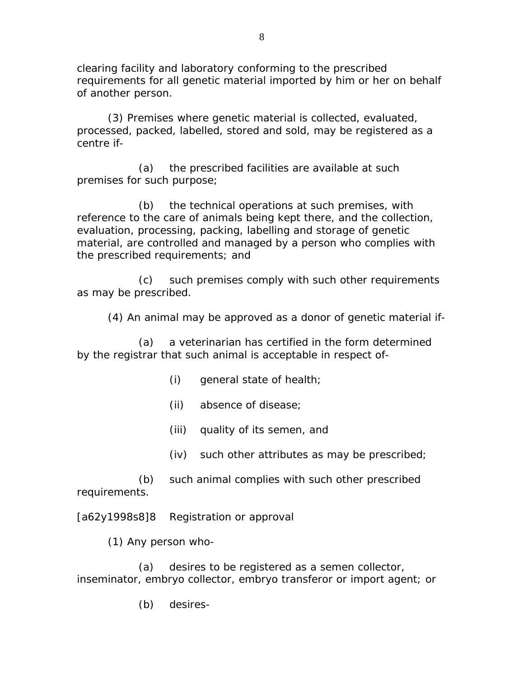clearing facility and laboratory conforming to the prescribed requirements for all genetic material imported by him or her on behalf of another person.

 (3) Premises where genetic material is collected, evaluated, processed, packed, labelled, stored and sold, may be registered as a centre if-

 (a) the prescribed facilities are available at such premises for such purpose;

 (b) the technical operations at such premises, with reference to the care of animals being kept there, and the collection, evaluation, processing, packing, labelling and storage of genetic material, are controlled and managed by a person who complies with the prescribed requirements; and

 (c) such premises comply with such other requirements as may be prescribed.

(4) An animal may be approved as a donor of genetic material if-

 (a) a veterinarian has certified in the form determined by the registrar that such animal is acceptable in respect of-

- (i) general state of health;
- (ii) absence of disease;
- (iii) quality of its semen, and
- (iv) such other attributes as may be prescribed;

 (b) such animal complies with such other prescribed requirements.

[a62y1998s8]8 Registration or approval

(1) Any person who-

 (a) desires to be registered as a semen collector, inseminator, embryo collector, embryo transferor or import agent; or

(b) desires-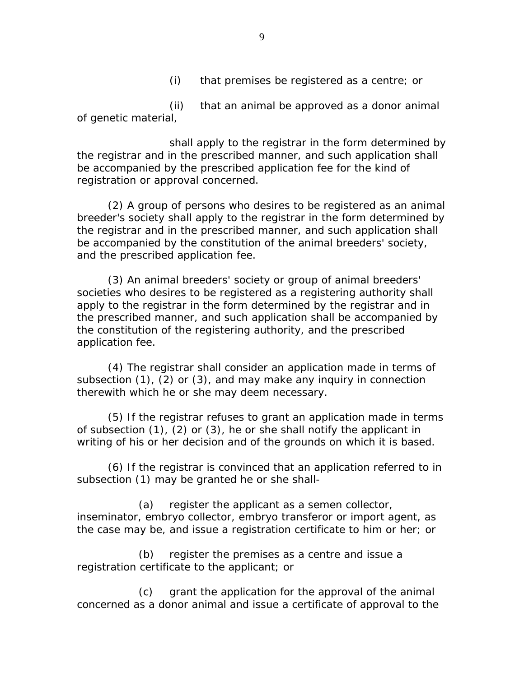(i) that premises be registered as a centre; or

 (ii) that an animal be approved as a donor animal of genetic material,

 shall apply to the registrar in the form determined by the registrar and in the prescribed manner, and such application shall be accompanied by the prescribed application fee for the kind of registration or approval concerned.

 (2) A group of persons who desires to be registered as an animal breeder's society shall apply to the registrar in the form determined by the registrar and in the prescribed manner, and such application shall be accompanied by the constitution of the animal breeders' society, and the prescribed application fee.

 (3) An animal breeders' society or group of animal breeders' societies who desires to be registered as a registering authority shall apply to the registrar in the form determined by the registrar and in the prescribed manner, and such application shall be accompanied by the constitution of the registering authority, and the prescribed application fee.

 (4) The registrar shall consider an application made in terms of subsection (1), (2) or (3), and may make any inquiry in connection therewith which he or she may deem necessary.

 (5) If the registrar refuses to grant an application made in terms of subsection (1), (2) or (3), he or she shall notify the applicant in writing of his or her decision and of the grounds on which it is based.

 (6) If the registrar is convinced that an application referred to in subsection (1) may be granted he or she shall-

 (a) register the applicant as a semen collector, inseminator, embryo collector, embryo transferor or import agent, as the case may be, and issue a registration certificate to him or her; or

 (b) register the premises as a centre and issue a registration certificate to the applicant; or

 (c) grant the application for the approval of the animal concerned as a donor animal and issue a certificate of approval to the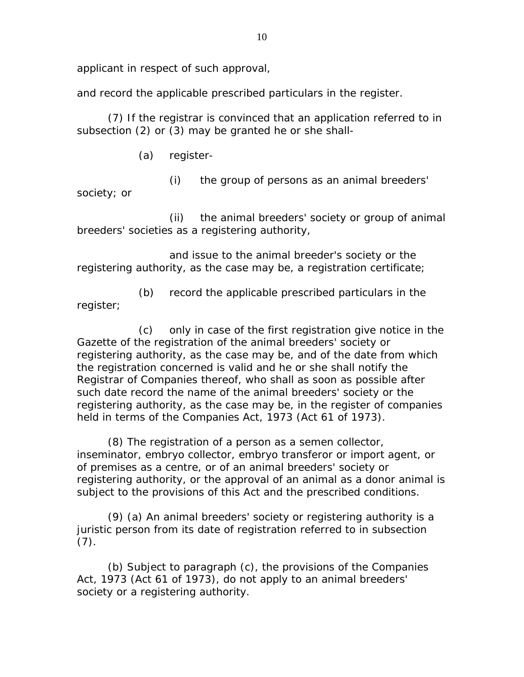applicant in respect of such approval,

and record the applicable prescribed particulars in the register.

 (7) If the registrar is convinced that an application referred to in subsection (2) or (3) may be granted he or she shall-

(a) register-

(i) the group of persons as an animal breeders'

society; or

 (ii) the animal breeders' society or group of animal breeders' societies as a registering authority,

 and issue to the animal breeder's society or the registering authority, as the case may be, a registration certificate;

 (b) record the applicable prescribed particulars in the register;

 (c) only in case of the first registration give notice in the Gazette of the registration of the animal breeders' society or registering authority, as the case may be, and of the date from which the registration concerned is valid and he or she shall notify the Registrar of Companies thereof, who shall as soon as possible after such date record the name of the animal breeders' society or the registering authority, as the case may be, in the register of companies held in terms of the Companies Act, 1973 (Act 61 of 1973).

 (8) The registration of a person as a semen collector, inseminator, embryo collector, embryo transferor or import agent, or of premises as a centre, or of an animal breeders' society or registering authority, or the approval of an animal as a donor animal is subject to the provisions of this Act and the prescribed conditions.

 (9) (a) An animal breeders' society or registering authority is a juristic person from its date of registration referred to in subsection  $(7).$ 

 (b) Subject to paragraph (c), the provisions of the Companies Act, 1973 (Act 61 of 1973), do not apply to an animal breeders' society or a registering authority.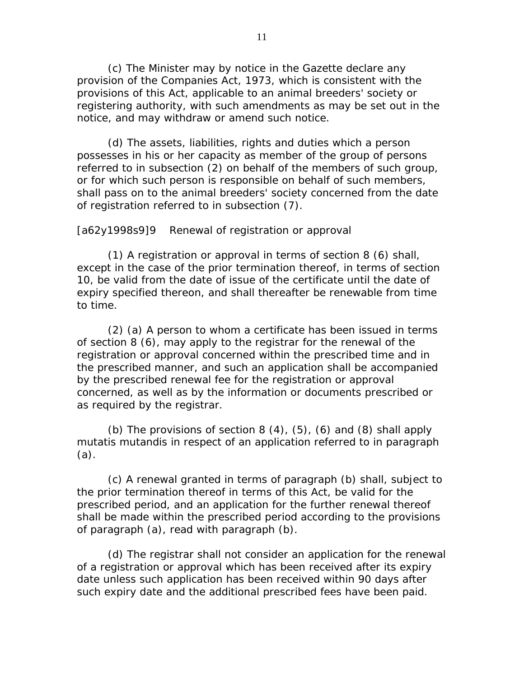(c) The Minister may by notice in the Gazette declare any provision of the Companies Act, 1973, which is consistent with the provisions of this Act, applicable to an animal breeders' society or registering authority, with such amendments as may be set out in the notice, and may withdraw or amend such notice.

 (d) The assets, liabilities, rights and duties which a person possesses in his or her capacity as member of the group of persons referred to in subsection (2) on behalf of the members of such group, or for which such person is responsible on behalf of such members, shall pass on to the animal breeders' society concerned from the date of registration referred to in subsection (7).

[a62y1998s9]9 Renewal of registration or approval

 (1) A registration or approval in terms of section 8 (6) shall, except in the case of the prior termination thereof, in terms of section 10, be valid from the date of issue of the certificate until the date of expiry specified thereon, and shall thereafter be renewable from time to time.

 (2) (a) A person to whom a certificate has been issued in terms of section 8 (6), may apply to the registrar for the renewal of the registration or approval concerned within the prescribed time and in the prescribed manner, and such an application shall be accompanied by the prescribed renewal fee for the registration or approval concerned, as well as by the information or documents prescribed or as required by the registrar.

(b) The provisions of section  $8(4)$ ,  $(5)$ ,  $(6)$  and  $(8)$  shall apply mutatis mutandis in respect of an application referred to in paragraph (a).

 (c) A renewal granted in terms of paragraph (b) shall, subject to the prior termination thereof in terms of this Act, be valid for the prescribed period, and an application for the further renewal thereof shall be made within the prescribed period according to the provisions of paragraph (a), read with paragraph (b).

 (d) The registrar shall not consider an application for the renewal of a registration or approval which has been received after its expiry date unless such application has been received within 90 days after such expiry date and the additional prescribed fees have been paid.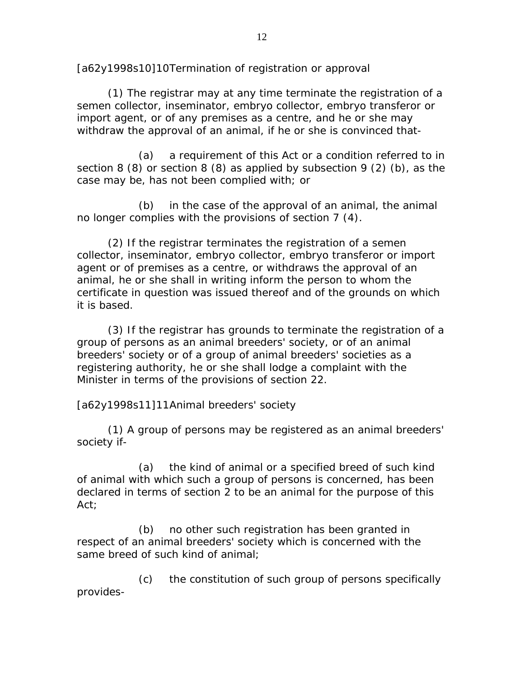[a62y1998s10]10 Termination of registration or approval

 (1) The registrar may at any time terminate the registration of a semen collector, inseminator, embryo collector, embryo transferor or import agent, or of any premises as a centre, and he or she may withdraw the approval of an animal, if he or she is convinced that-

 (a) a requirement of this Act or a condition referred to in section 8 (8) or section 8 (8) as applied by subsection 9 (2) (b), as the case may be, has not been complied with; or

 (b) in the case of the approval of an animal, the animal no longer complies with the provisions of section 7 (4).

 (2) If the registrar terminates the registration of a semen collector, inseminator, embryo collector, embryo transferor or import agent or of premises as a centre, or withdraws the approval of an animal, he or she shall in writing inform the person to whom the certificate in question was issued thereof and of the grounds on which it is based.

 (3) If the registrar has grounds to terminate the registration of a group of persons as an animal breeders' society, or of an animal breeders' society or of a group of animal breeders' societies as a registering authority, he or she shall lodge a complaint with the Minister in terms of the provisions of section 22.

[a62y1998s11]11 Animal breeders' society

 (1) A group of persons may be registered as an animal breeders' society if-

 (a) the kind of animal or a specified breed of such kind of animal with which such a group of persons is concerned, has been declared in terms of section 2 to be an animal for the purpose of this Act;

 (b) no other such registration has been granted in respect of an animal breeders' society which is concerned with the same breed of such kind of animal;

 (c) the constitution of such group of persons specifically provides-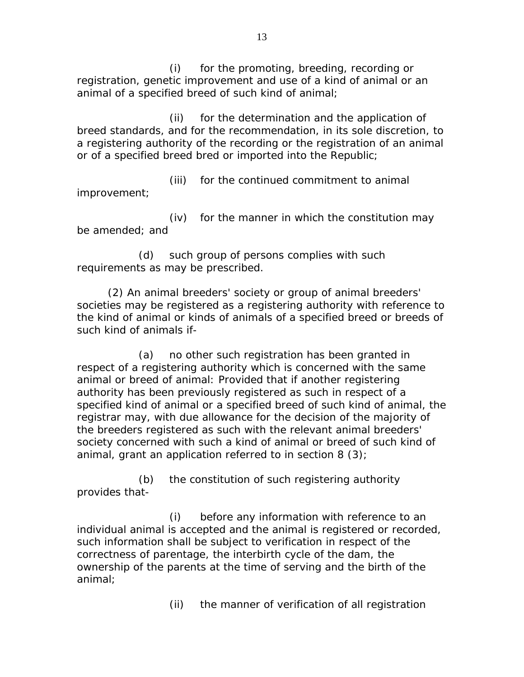(i) for the promoting, breeding, recording or registration, genetic improvement and use of a kind of animal or an animal of a specified breed of such kind of animal;

 (ii) for the determination and the application of breed standards, and for the recommendation, in its sole discretion, to a registering authority of the recording or the registration of an animal or of a specified breed bred or imported into the Republic;

 (iii) for the continued commitment to animal improvement;

 (iv) for the manner in which the constitution may be amended; and

 (d) such group of persons complies with such requirements as may be prescribed.

 (2) An animal breeders' society or group of animal breeders' societies may be registered as a registering authority with reference to the kind of animal or kinds of animals of a specified breed or breeds of such kind of animals if-

 (a) no other such registration has been granted in respect of a registering authority which is concerned with the same animal or breed of animal: Provided that if another registering authority has been previously registered as such in respect of a specified kind of animal or a specified breed of such kind of animal, the registrar may, with due allowance for the decision of the majority of the breeders registered as such with the relevant animal breeders' society concerned with such a kind of animal or breed of such kind of animal, grant an application referred to in section 8 (3);

 (b) the constitution of such registering authority provides that-

 (i) before any information with reference to an individual animal is accepted and the animal is registered or recorded, such information shall be subject to verification in respect of the correctness of parentage, the interbirth cycle of the dam, the ownership of the parents at the time of serving and the birth of the animal;

(ii) the manner of verification of all registration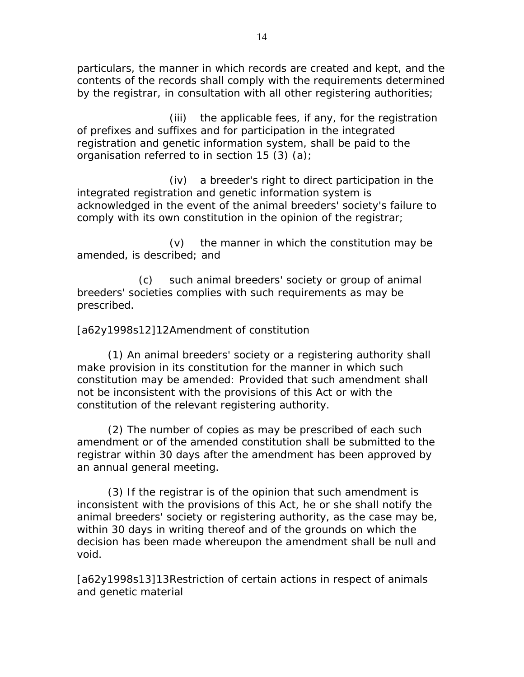particulars, the manner in which records are created and kept, and the contents of the records shall comply with the requirements determined by the registrar, in consultation with all other registering authorities;

 (iii) the applicable fees, if any, for the registration of prefixes and suffixes and for participation in the integrated registration and genetic information system, shall be paid to the organisation referred to in section 15 (3) (a);

 (iv) a breeder's right to direct participation in the integrated registration and genetic information system is acknowledged in the event of the animal breeders' society's failure to comply with its own constitution in the opinion of the registrar;

 (v) the manner in which the constitution may be amended, is described; and

 (c) such animal breeders' society or group of animal breeders' societies complies with such requirements as may be prescribed.

# [a62y1998s12]12 Amendment of constitution

 (1) An animal breeders' society or a registering authority shall make provision in its constitution for the manner in which such constitution may be amended: Provided that such amendment shall not be inconsistent with the provisions of this Act or with the constitution of the relevant registering authority.

 (2) The number of copies as may be prescribed of each such amendment or of the amended constitution shall be submitted to the registrar within 30 days after the amendment has been approved by an annual general meeting.

 (3) If the registrar is of the opinion that such amendment is inconsistent with the provisions of this Act, he or she shall notify the animal breeders' society or registering authority, as the case may be, within 30 days in writing thereof and of the grounds on which the decision has been made whereupon the amendment shall be null and void.

[a62y1998s13]13 Restriction of certain actions in respect of animals and genetic material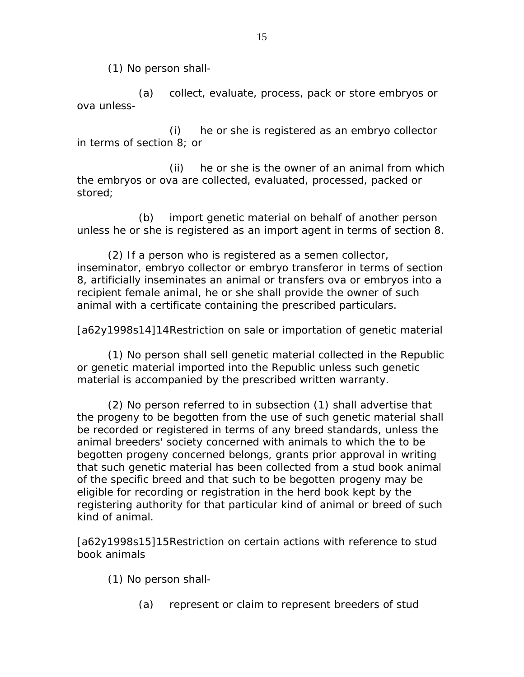(1) No person shall-

 (a) collect, evaluate, process, pack or store embryos or ova unless-

 (i) he or she is registered as an embryo collector in terms of section 8; or

 (ii) he or she is the owner of an animal from which the embryos or ova are collected, evaluated, processed, packed or stored;

 (b) import genetic material on behalf of another person unless he or she is registered as an import agent in terms of section 8.

 (2) If a person who is registered as a semen collector, inseminator, embryo collector or embryo transferor in terms of section 8, artificially inseminates an animal or transfers ova or embryos into a recipient female animal, he or she shall provide the owner of such animal with a certificate containing the prescribed particulars.

[a62y1998s14]14 Restriction on sale or importation of genetic material

 (1) No person shall sell genetic material collected in the Republic or genetic material imported into the Republic unless such genetic material is accompanied by the prescribed written warranty.

 (2) No person referred to in subsection (1) shall advertise that the progeny to be begotten from the use of such genetic material shall be recorded or registered in terms of any breed standards, unless the animal breeders' society concerned with animals to which the to be begotten progeny concerned belongs, grants prior approval in writing that such genetic material has been collected from a stud book animal of the specific breed and that such to be begotten progeny may be eligible for recording or registration in the herd book kept by the registering authority for that particular kind of animal or breed of such kind of animal.

[a62y1998s15]15 Restriction on certain actions with reference to stud book animals

(1) No person shall-

(a) represent or claim to represent breeders of stud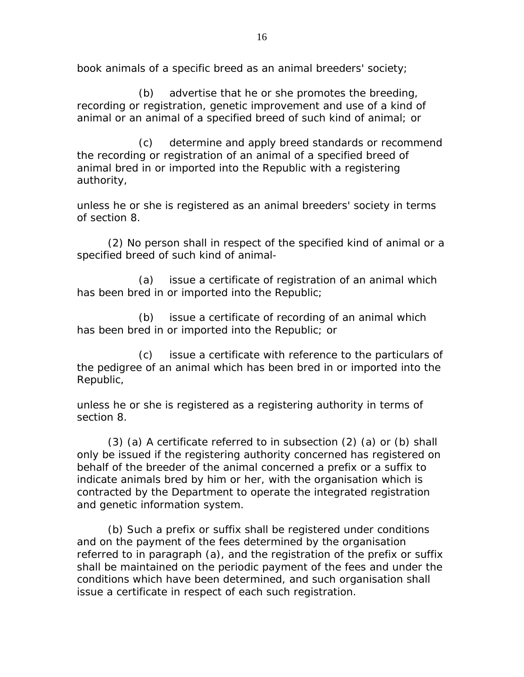book animals of a specific breed as an animal breeders' society;

 (b) advertise that he or she promotes the breeding, recording or registration, genetic improvement and use of a kind of animal or an animal of a specified breed of such kind of animal; or

 (c) determine and apply breed standards or recommend the recording or registration of an animal of a specified breed of animal bred in or imported into the Republic with a registering authority,

unless he or she is registered as an animal breeders' society in terms of section 8.

 (2) No person shall in respect of the specified kind of animal or a specified breed of such kind of animal-

 (a) issue a certificate of registration of an animal which has been bred in or imported into the Republic;

 (b) issue a certificate of recording of an animal which has been bred in or imported into the Republic; or

 (c) issue a certificate with reference to the particulars of the pedigree of an animal which has been bred in or imported into the Republic,

unless he or she is registered as a registering authority in terms of section 8.

 (3) (a) A certificate referred to in subsection (2) (a) or (b) shall only be issued if the registering authority concerned has registered on behalf of the breeder of the animal concerned a prefix or a suffix to indicate animals bred by him or her, with the organisation which is contracted by the Department to operate the integrated registration and genetic information system.

 (b) Such a prefix or suffix shall be registered under conditions and on the payment of the fees determined by the organisation referred to in paragraph (a), and the registration of the prefix or suffix shall be maintained on the periodic payment of the fees and under the conditions which have been determined, and such organisation shall issue a certificate in respect of each such registration.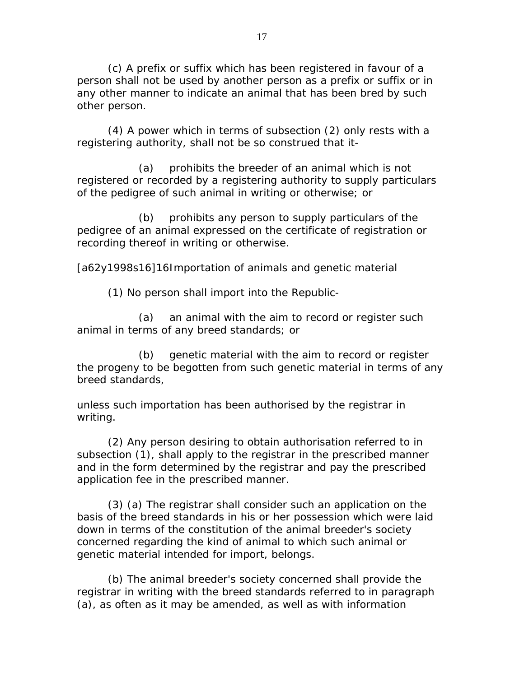(c) A prefix or suffix which has been registered in favour of a person shall not be used by another person as a prefix or suffix or in any other manner to indicate an animal that has been bred by such other person.

 (4) A power which in terms of subsection (2) only rests with a registering authority, shall not be so construed that it-

 (a) prohibits the breeder of an animal which is not registered or recorded by a registering authority to supply particulars of the pedigree of such animal in writing or otherwise; or

 (b) prohibits any person to supply particulars of the pedigree of an animal expressed on the certificate of registration or recording thereof in writing or otherwise.

[a62y1998s16]16 Importation of animals and genetic material

(1) No person shall import into the Republic-

 (a) an animal with the aim to record or register such animal in terms of any breed standards; or

 (b) genetic material with the aim to record or register the progeny to be begotten from such genetic material in terms of any breed standards,

unless such importation has been authorised by the registrar in writing.

 (2) Any person desiring to obtain authorisation referred to in subsection (1), shall apply to the registrar in the prescribed manner and in the form determined by the registrar and pay the prescribed application fee in the prescribed manner.

 (3) (a) The registrar shall consider such an application on the basis of the breed standards in his or her possession which were laid down in terms of the constitution of the animal breeder's society concerned regarding the kind of animal to which such animal or genetic material intended for import, belongs.

 (b) The animal breeder's society concerned shall provide the registrar in writing with the breed standards referred to in paragraph (a), as often as it may be amended, as well as with information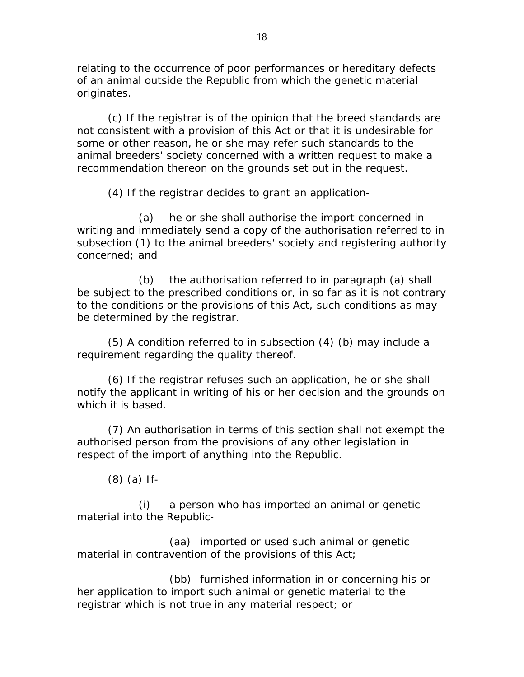relating to the occurrence of poor performances or hereditary defects of an animal outside the Republic from which the genetic material originates.

 (c) If the registrar is of the opinion that the breed standards are not consistent with a provision of this Act or that it is undesirable for some or other reason, he or she may refer such standards to the animal breeders' society concerned with a written request to make a recommendation thereon on the grounds set out in the request.

(4) If the registrar decides to grant an application-

 (a) he or she shall authorise the import concerned in writing and immediately send a copy of the authorisation referred to in subsection (1) to the animal breeders' society and registering authority concerned; and

 (b) the authorisation referred to in paragraph (a) shall be subject to the prescribed conditions or, in so far as it is not contrary to the conditions or the provisions of this Act, such conditions as may be determined by the registrar.

 (5) A condition referred to in subsection (4) (b) may include a requirement regarding the quality thereof.

 (6) If the registrar refuses such an application, he or she shall notify the applicant in writing of his or her decision and the grounds on which it is based.

 (7) An authorisation in terms of this section shall not exempt the authorised person from the provisions of any other legislation in respect of the import of anything into the Republic.

(8) (a) If-

 (i) a person who has imported an animal or genetic material into the Republic-

 (aa) imported or used such animal or genetic material in contravention of the provisions of this Act;

 (bb) furnished information in or concerning his or her application to import such animal or genetic material to the registrar which is not true in any material respect; or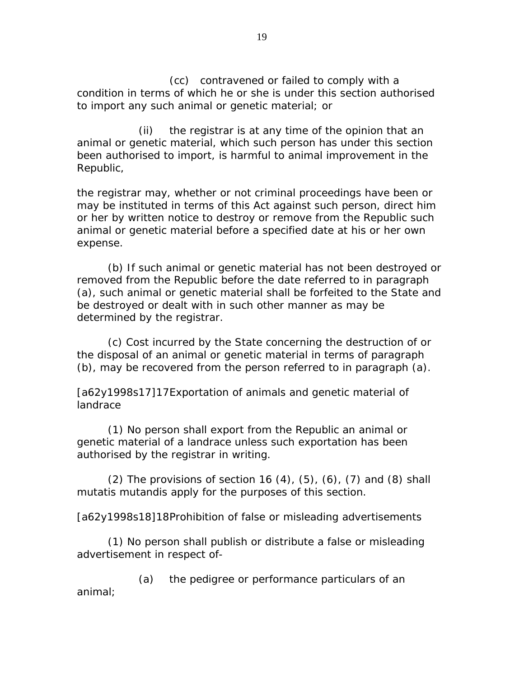(cc) contravened or failed to comply with a condition in terms of which he or she is under this section authorised to import any such animal or genetic material; or

 (ii) the registrar is at any time of the opinion that an animal or genetic material, which such person has under this section been authorised to import, is harmful to animal improvement in the Republic,

the registrar may, whether or not criminal proceedings have been or may be instituted in terms of this Act against such person, direct him or her by written notice to destroy or remove from the Republic such animal or genetic material before a specified date at his or her own expense.

 (b) If such animal or genetic material has not been destroyed or removed from the Republic before the date referred to in paragraph (a), such animal or genetic material shall be forfeited to the State and be destroyed or dealt with in such other manner as may be determined by the registrar.

 (c) Cost incurred by the State concerning the destruction of or the disposal of an animal or genetic material in terms of paragraph (b), may be recovered from the person referred to in paragraph (a).

[a62y1998s17]17 Exportation of animals and genetic material of landrace

 (1) No person shall export from the Republic an animal or genetic material of a landrace unless such exportation has been authorised by the registrar in writing.

 $(2)$  The provisions of section 16  $(4)$ ,  $(5)$ ,  $(6)$ ,  $(7)$  and  $(8)$  shall mutatis mutandis apply for the purposes of this section.

[a62y1998s18]18 Prohibition of false or misleading advertisements

 (1) No person shall publish or distribute a false or misleading advertisement in respect of-

 (a) the pedigree or performance particulars of an animal;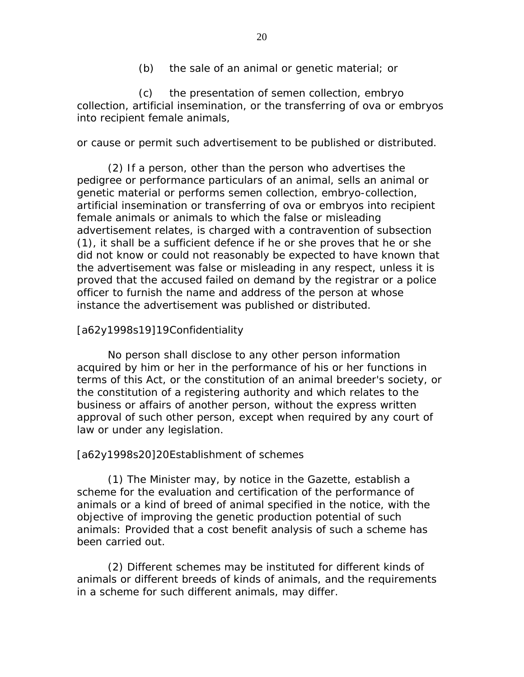(b) the sale of an animal or genetic material; or

 (c) the presentation of semen collection, embryo collection, artificial insemination, or the transferring of ova or embryos into recipient female animals,

or cause or permit such advertisement to be published or distributed.

 (2) If a person, other than the person who advertises the pedigree or performance particulars of an animal, sells an animal or genetic material or performs semen collection, embryo-collection, artificial insemination or transferring of ova or embryos into recipient female animals or animals to which the false or misleading advertisement relates, is charged with a contravention of subsection (1), it shall be a sufficient defence if he or she proves that he or she did not know or could not reasonably be expected to have known that the advertisement was false or misleading in any respect, unless it is proved that the accused failed on demand by the registrar or a police officer to furnish the name and address of the person at whose instance the advertisement was published or distributed.

### [a62y1998s19]19 Confidentiality

 No person shall disclose to any other person information acquired by him or her in the performance of his or her functions in terms of this Act, or the constitution of an animal breeder's society, or the constitution of a registering authority and which relates to the business or affairs of another person, without the express written approval of such other person, except when required by any court of law or under any legislation.

#### [a62y1998s20]20 Establishment of schemes

 (1) The Minister may, by notice in the Gazette, establish a scheme for the evaluation and certification of the performance of animals or a kind of breed of animal specified in the notice, with the objective of improving the genetic production potential of such animals: Provided that a cost benefit analysis of such a scheme has been carried out.

 (2) Different schemes may be instituted for different kinds of animals or different breeds of kinds of animals, and the requirements in a scheme for such different animals, may differ.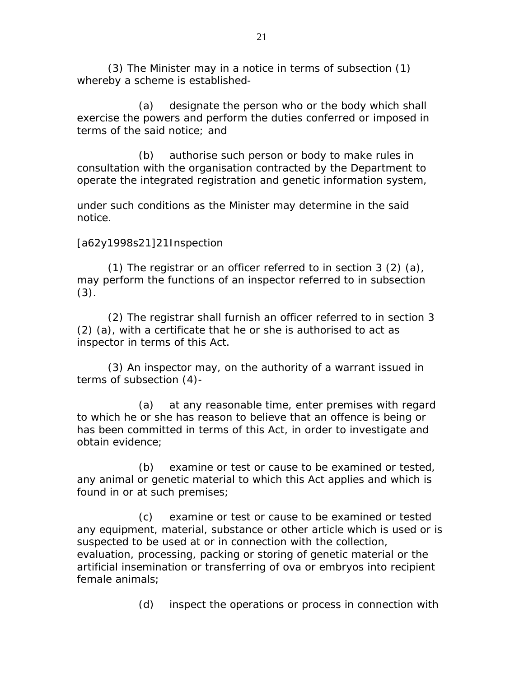(3) The Minister may in a notice in terms of subsection (1) whereby a scheme is established-

 (a) designate the person who or the body which shall exercise the powers and perform the duties conferred or imposed in terms of the said notice; and

 (b) authorise such person or body to make rules in consultation with the organisation contracted by the Department to operate the integrated registration and genetic information system,

under such conditions as the Minister may determine in the said notice.

### [a62y1998s21]21 Inspection

 (1) The registrar or an officer referred to in section 3 (2) (a), may perform the functions of an inspector referred to in subsection (3).

 (2) The registrar shall furnish an officer referred to in section 3 (2) (a), with a certificate that he or she is authorised to act as inspector in terms of this Act.

 (3) An inspector may, on the authority of a warrant issued in terms of subsection (4)-

 (a) at any reasonable time, enter premises with regard to which he or she has reason to believe that an offence is being or has been committed in terms of this Act, in order to investigate and obtain evidence;

 (b) examine or test or cause to be examined or tested, any animal or genetic material to which this Act applies and which is found in or at such premises;

 (c) examine or test or cause to be examined or tested any equipment, material, substance or other article which is used or is suspected to be used at or in connection with the collection, evaluation, processing, packing or storing of genetic material or the artificial insemination or transferring of ova or embryos into recipient female animals;

(d) inspect the operations or process in connection with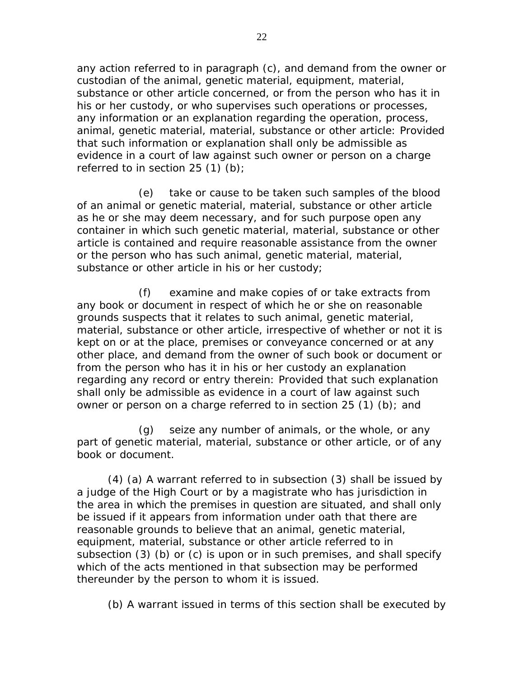any action referred to in paragraph (c), and demand from the owner or custodian of the animal, genetic material, equipment, material, substance or other article concerned, or from the person who has it in his or her custody, or who supervises such operations or processes, any information or an explanation regarding the operation, process, animal, genetic material, material, substance or other article: Provided that such information or explanation shall only be admissible as evidence in a court of law against such owner or person on a charge referred to in section  $25(1)(b)$ ;

 (e) take or cause to be taken such samples of the blood of an animal or genetic material, material, substance or other article as he or she may deem necessary, and for such purpose open any container in which such genetic material, material, substance or other article is contained and require reasonable assistance from the owner or the person who has such animal, genetic material, material, substance or other article in his or her custody;

 (f) examine and make copies of or take extracts from any book or document in respect of which he or she on reasonable grounds suspects that it relates to such animal, genetic material, material, substance or other article, irrespective of whether or not it is kept on or at the place, premises or conveyance concerned or at any other place, and demand from the owner of such book or document or from the person who has it in his or her custody an explanation regarding any record or entry therein: Provided that such explanation shall only be admissible as evidence in a court of law against such owner or person on a charge referred to in section 25 (1) (b); and

 (g) seize any number of animals, or the whole, or any part of genetic material, material, substance or other article, or of any book or document.

 (4) (a) A warrant referred to in subsection (3) shall be issued by a judge of the High Court or by a magistrate who has jurisdiction in the area in which the premises in question are situated, and shall only be issued if it appears from information under oath that there are reasonable grounds to believe that an animal, genetic material, equipment, material, substance or other article referred to in subsection (3) (b) or (c) is upon or in such premises, and shall specify which of the acts mentioned in that subsection may be performed thereunder by the person to whom it is issued.

(b) A warrant issued in terms of this section shall be executed by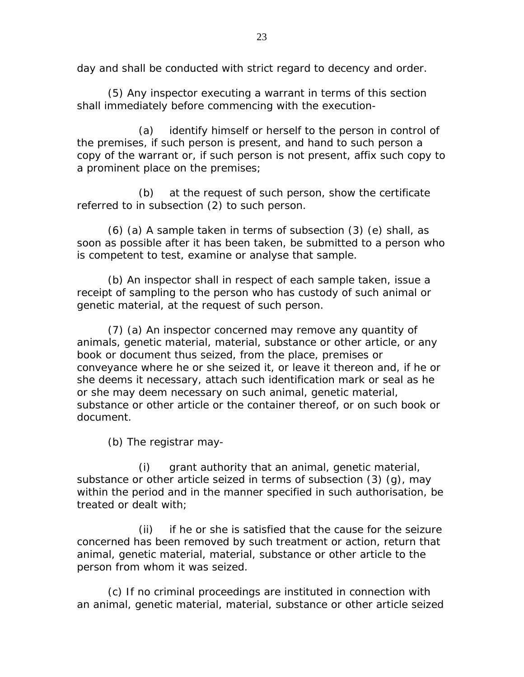day and shall be conducted with strict regard to decency and order.

 (5) Any inspector executing a warrant in terms of this section shall immediately before commencing with the execution-

 (a) identify himself or herself to the person in control of the premises, if such person is present, and hand to such person a copy of the warrant or, if such person is not present, affix such copy to a prominent place on the premises;

 (b) at the request of such person, show the certificate referred to in subsection (2) to such person.

 (6) (a) A sample taken in terms of subsection (3) (e) shall, as soon as possible after it has been taken, be submitted to a person who is competent to test, examine or analyse that sample.

 (b) An inspector shall in respect of each sample taken, issue a receipt of sampling to the person who has custody of such animal or genetic material, at the request of such person.

 (7) (a) An inspector concerned may remove any quantity of animals, genetic material, material, substance or other article, or any book or document thus seized, from the place, premises or conveyance where he or she seized it, or leave it thereon and, if he or she deems it necessary, attach such identification mark or seal as he or she may deem necessary on such animal, genetic material, substance or other article or the container thereof, or on such book or document.

(b) The registrar may-

 (i) grant authority that an animal, genetic material, substance or other article seized in terms of subsection (3) (g), may within the period and in the manner specified in such authorisation, be treated or dealt with;

 (ii) if he or she is satisfied that the cause for the seizure concerned has been removed by such treatment or action, return that animal, genetic material, material, substance or other article to the person from whom it was seized.

 (c) If no criminal proceedings are instituted in connection with an animal, genetic material, material, substance or other article seized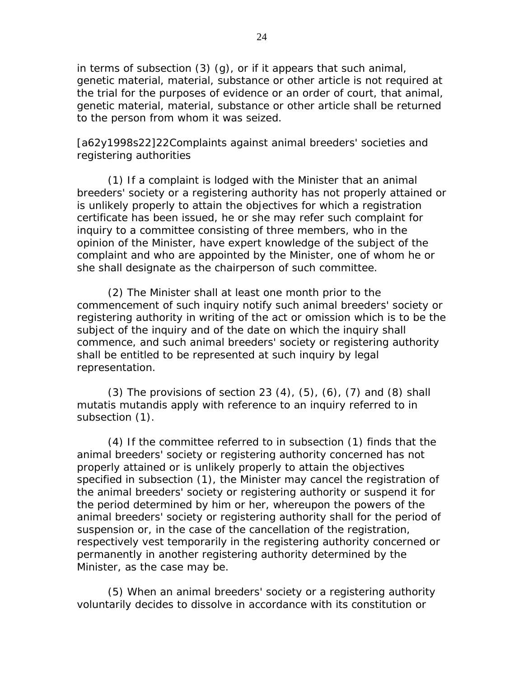in terms of subsection (3) (g), or if it appears that such animal, genetic material, material, substance or other article is not required at the trial for the purposes of evidence or an order of court, that animal, genetic material, material, substance or other article shall be returned to the person from whom it was seized.

[a62y1998s22]22 Complaints against animal breeders' societies and registering authorities

 (1) If a complaint is lodged with the Minister that an animal breeders' society or a registering authority has not properly attained or is unlikely properly to attain the objectives for which a registration certificate has been issued, he or she may refer such complaint for inquiry to a committee consisting of three members, who in the opinion of the Minister, have expert knowledge of the subject of the complaint and who are appointed by the Minister, one of whom he or she shall designate as the chairperson of such committee.

 (2) The Minister shall at least one month prior to the commencement of such inquiry notify such animal breeders' society or registering authority in writing of the act or omission which is to be the subject of the inquiry and of the date on which the inquiry shall commence, and such animal breeders' society or registering authority shall be entitled to be represented at such inquiry by legal representation.

(3) The provisions of section 23  $(4)$ ,  $(5)$ ,  $(6)$ ,  $(7)$  and  $(8)$  shall mutatis mutandis apply with reference to an inquiry referred to in subsection (1).

 (4) If the committee referred to in subsection (1) finds that the animal breeders' society or registering authority concerned has not properly attained or is unlikely properly to attain the objectives specified in subsection (1), the Minister may cancel the registration of the animal breeders' society or registering authority or suspend it for the period determined by him or her, whereupon the powers of the animal breeders' society or registering authority shall for the period of suspension or, in the case of the cancellation of the registration, respectively vest temporarily in the registering authority concerned or permanently in another registering authority determined by the Minister, as the case may be.

 (5) When an animal breeders' society or a registering authority voluntarily decides to dissolve in accordance with its constitution or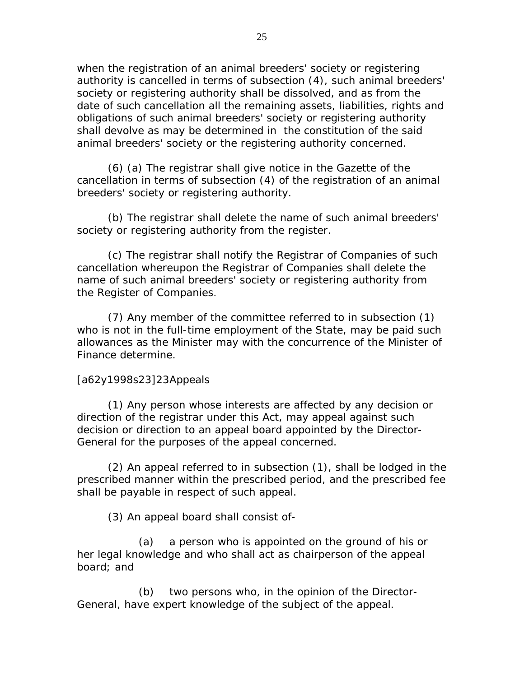when the registration of an animal breeders' society or registering authority is cancelled in terms of subsection (4), such animal breeders' society or registering authority shall be dissolved, and as from the date of such cancellation all the remaining assets, liabilities, rights and obligations of such animal breeders' society or registering authority shall devolve as may be determined in the constitution of the said animal breeders' society or the registering authority concerned.

 (6) (a) The registrar shall give notice in the Gazette of the cancellation in terms of subsection (4) of the registration of an animal breeders' society or registering authority.

 (b) The registrar shall delete the name of such animal breeders' society or registering authority from the register.

 (c) The registrar shall notify the Registrar of Companies of such cancellation whereupon the Registrar of Companies shall delete the name of such animal breeders' society or registering authority from the Register of Companies.

 (7) Any member of the committee referred to in subsection (1) who is not in the full-time employment of the State, may be paid such allowances as the Minister may with the concurrence of the Minister of Finance determine.

### [a62y1998s23]23 Appeals

 (1) Any person whose interests are affected by any decision or direction of the registrar under this Act, may appeal against such decision or direction to an appeal board appointed by the Director-General for the purposes of the appeal concerned.

 (2) An appeal referred to in subsection (1), shall be lodged in the prescribed manner within the prescribed period, and the prescribed fee shall be payable in respect of such appeal.

(3) An appeal board shall consist of-

 (a) a person who is appointed on the ground of his or her legal knowledge and who shall act as chairperson of the appeal board; and

 (b) two persons who, in the opinion of the Director-General, have expert knowledge of the subject of the appeal.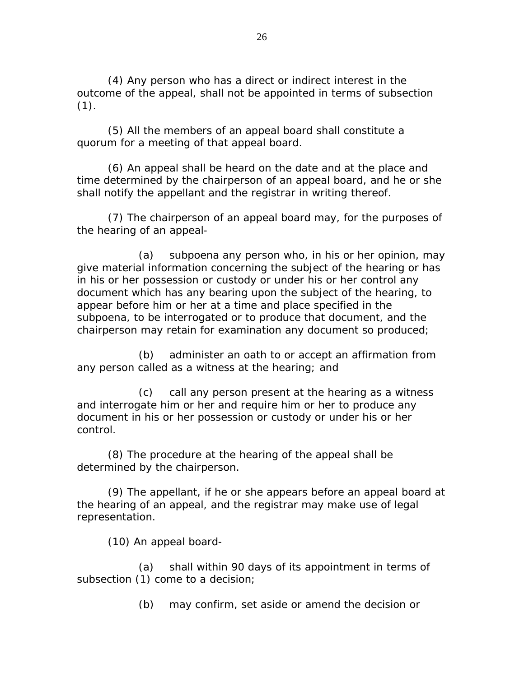(4) Any person who has a direct or indirect interest in the outcome of the appeal, shall not be appointed in terms of subsection  $(1).$ 

 (5) All the members of an appeal board shall constitute a quorum for a meeting of that appeal board.

 (6) An appeal shall be heard on the date and at the place and time determined by the chairperson of an appeal board, and he or she shall notify the appellant and the registrar in writing thereof.

 (7) The chairperson of an appeal board may, for the purposes of the hearing of an appeal-

 (a) subpoena any person who, in his or her opinion, may give material information concerning the subject of the hearing or has in his or her possession or custody or under his or her control any document which has any bearing upon the subject of the hearing, to appear before him or her at a time and place specified in the subpoena, to be interrogated or to produce that document, and the chairperson may retain for examination any document so produced;

 (b) administer an oath to or accept an affirmation from any person called as a witness at the hearing; and

 (c) call any person present at the hearing as a witness and interrogate him or her and require him or her to produce any document in his or her possession or custody or under his or her control.

 (8) The procedure at the hearing of the appeal shall be determined by the chairperson.

 (9) The appellant, if he or she appears before an appeal board at the hearing of an appeal, and the registrar may make use of legal representation.

(10) An appeal board-

 (a) shall within 90 days of its appointment in terms of subsection (1) come to a decision;

(b) may confirm, set aside or amend the decision or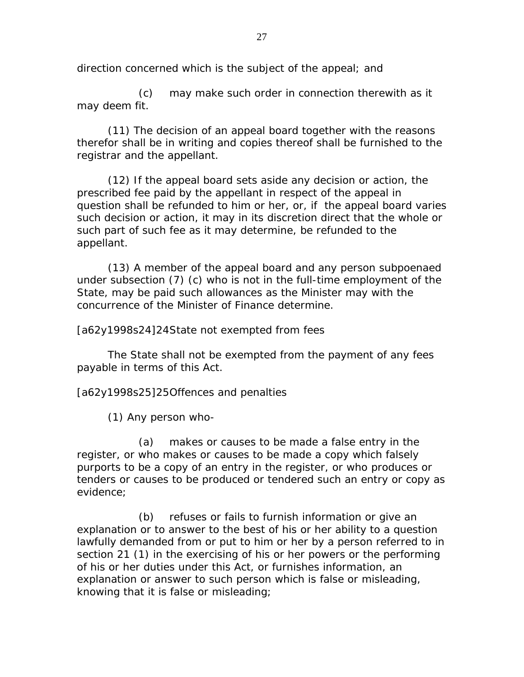direction concerned which is the subject of the appeal; and

 (c) may make such order in connection therewith as it may deem fit.

 (11) The decision of an appeal board together with the reasons therefor shall be in writing and copies thereof shall be furnished to the registrar and the appellant.

 (12) If the appeal board sets aside any decision or action, the prescribed fee paid by the appellant in respect of the appeal in question shall be refunded to him or her, or, if the appeal board varies such decision or action, it may in its discretion direct that the whole or such part of such fee as it may determine, be refunded to the appellant.

 (13) A member of the appeal board and any person subpoenaed under subsection (7) (c) who is not in the full-time employment of the State, may be paid such allowances as the Minister may with the concurrence of the Minister of Finance determine.

[a62y1998s24]24 State not exempted from fees

 The State shall not be exempted from the payment of any fees payable in terms of this Act.

[a62y1998s25]25 Offences and penalties

(1) Any person who-

 (a) makes or causes to be made a false entry in the register, or who makes or causes to be made a copy which falsely purports to be a copy of an entry in the register, or who produces or tenders or causes to be produced or tendered such an entry or copy as evidence;

 (b) refuses or fails to furnish information or give an explanation or to answer to the best of his or her ability to a question lawfully demanded from or put to him or her by a person referred to in section 21 (1) in the exercising of his or her powers or the performing of his or her duties under this Act, or furnishes information, an explanation or answer to such person which is false or misleading, knowing that it is false or misleading;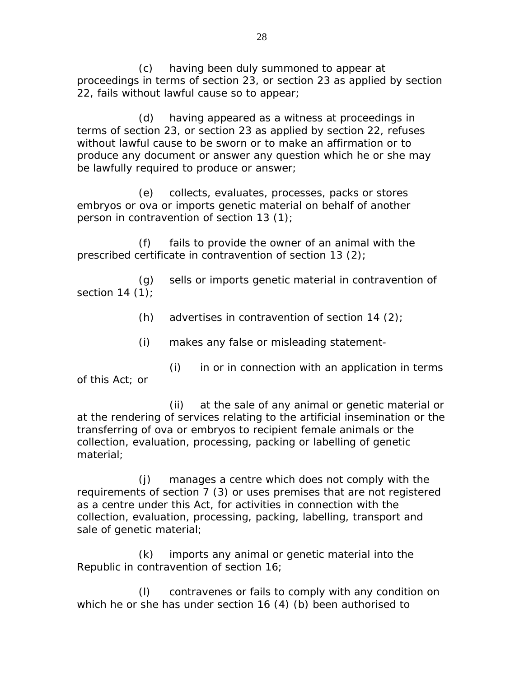(c) having been duly summoned to appear at proceedings in terms of section 23, or section 23 as applied by section 22, fails without lawful cause so to appear;

 (d) having appeared as a witness at proceedings in terms of section 23, or section 23 as applied by section 22, refuses without lawful cause to be sworn or to make an affirmation or to produce any document or answer any question which he or she may be lawfully required to produce or answer;

 (e) collects, evaluates, processes, packs or stores embryos or ova or imports genetic material on behalf of another person in contravention of section 13 (1);

 (f) fails to provide the owner of an animal with the prescribed certificate in contravention of section 13 (2);

 (g) sells or imports genetic material in contravention of section  $14(1)$ ;

(h) advertises in contravention of section 14  $(2)$ ;

(i) makes any false or misleading statement-

 (i) in or in connection with an application in terms of this Act; or

 (ii) at the sale of any animal or genetic material or at the rendering of services relating to the artificial insemination or the transferring of ova or embryos to recipient female animals or the collection, evaluation, processing, packing or labelling of genetic material;

 (j) manages a centre which does not comply with the requirements of section 7 (3) or uses premises that are not registered as a centre under this Act, for activities in connection with the collection, evaluation, processing, packing, labelling, transport and sale of genetic material;

 (k) imports any animal or genetic material into the Republic in contravention of section 16;

 (l) contravenes or fails to comply with any condition on which he or she has under section 16 (4) (b) been authorised to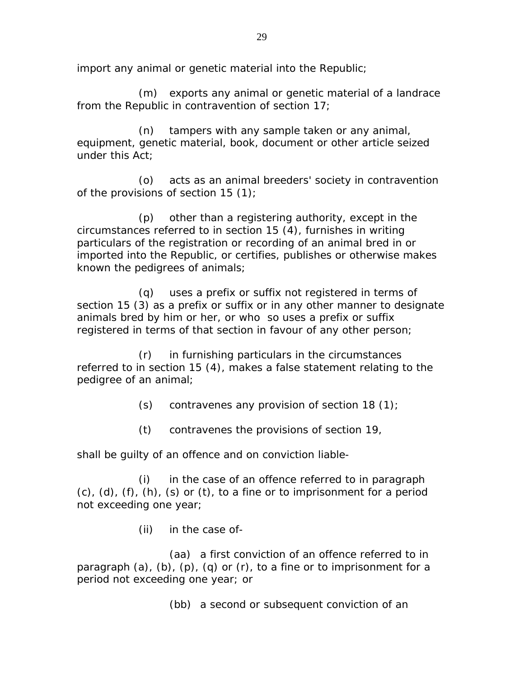import any animal or genetic material into the Republic;

 (m) exports any animal or genetic material of a landrace from the Republic in contravention of section 17;

 (n) tampers with any sample taken or any animal, equipment, genetic material, book, document or other article seized under this Act;

 (o) acts as an animal breeders' society in contravention of the provisions of section 15 (1);

 (p) other than a registering authority, except in the circumstances referred to in section 15 (4), furnishes in writing particulars of the registration or recording of an animal bred in or imported into the Republic, or certifies, publishes or otherwise makes known the pedigrees of animals;

 (q) uses a prefix or suffix not registered in terms of section 15 (3) as a prefix or suffix or in any other manner to designate animals bred by him or her, or who so uses a prefix or suffix registered in terms of that section in favour of any other person;

 (r) in furnishing particulars in the circumstances referred to in section 15 (4), makes a false statement relating to the pedigree of an animal;

(s) contravenes any provision of section 18  $(1)$ ;

(t) contravenes the provisions of section 19,

shall be guilty of an offence and on conviction liable-

 (i) in the case of an offence referred to in paragraph  $(c)$ ,  $(d)$ ,  $(f)$ ,  $(h)$ ,  $(s)$  or  $(t)$ , to a fine or to imprisonment for a period not exceeding one year;

(ii) in the case of-

 (aa) a first conviction of an offence referred to in paragraph  $(a)$ ,  $(b)$ ,  $(p)$ ,  $(q)$  or  $(r)$ , to a fine or to imprisonment for a period not exceeding one year; or

(bb) a second or subsequent conviction of an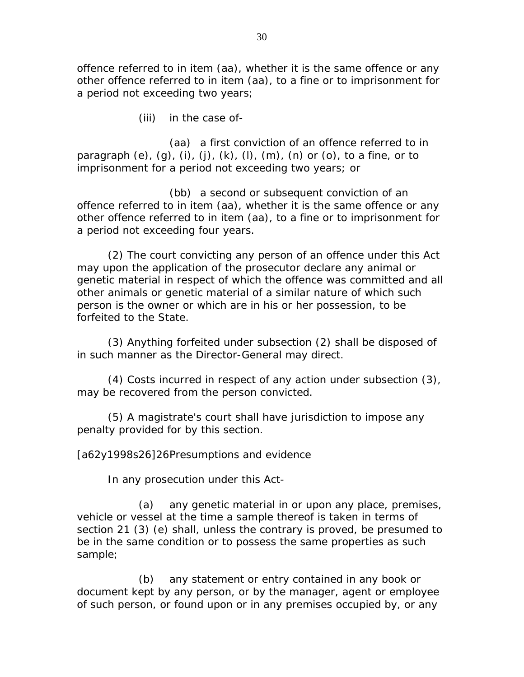offence referred to in item (aa), whether it is the same offence or any other offence referred to in item (aa), to a fine or to imprisonment for a period not exceeding two years;

(iii) in the case of-

 (aa) a first conviction of an offence referred to in paragraph  $(e)$ ,  $(g)$ ,  $(i)$ ,  $(j)$ ,  $(k)$ ,  $(l)$ ,  $(m)$ ,  $(n)$  or  $(o)$ , to a fine, or to imprisonment for a period not exceeding two years; or

 (bb) a second or subsequent conviction of an offence referred to in item (aa), whether it is the same offence or any other offence referred to in item (aa), to a fine or to imprisonment for a period not exceeding four years.

 (2) The court convicting any person of an offence under this Act may upon the application of the prosecutor declare any animal or genetic material in respect of which the offence was committed and all other animals or genetic material of a similar nature of which such person is the owner or which are in his or her possession, to be forfeited to the State.

 (3) Anything forfeited under subsection (2) shall be disposed of in such manner as the Director-General may direct.

 (4) Costs incurred in respect of any action under subsection (3), may be recovered from the person convicted.

 (5) A magistrate's court shall have jurisdiction to impose any penalty provided for by this section.

[a62y1998s26]26 Presumptions and evidence

In any prosecution under this Act-

 (a) any genetic material in or upon any place, premises, vehicle or vessel at the time a sample thereof is taken in terms of section 21 (3) (e) shall, unless the contrary is proved, be presumed to be in the same condition or to possess the same properties as such sample;

 (b) any statement or entry contained in any book or document kept by any person, or by the manager, agent or employee of such person, or found upon or in any premises occupied by, or any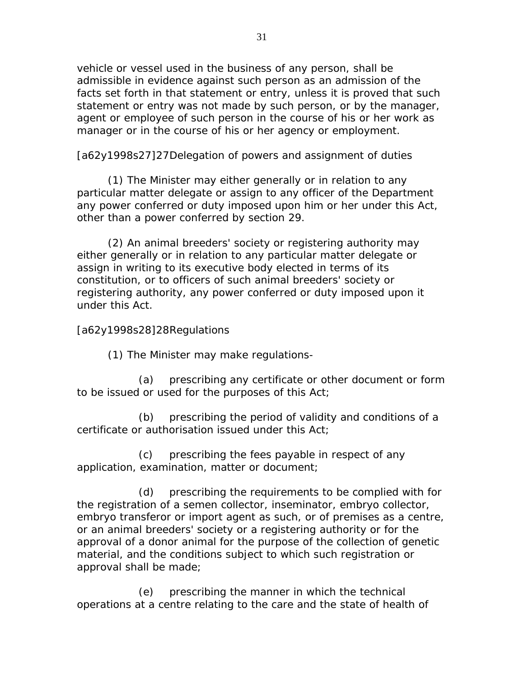vehicle or vessel used in the business of any person, shall be admissible in evidence against such person as an admission of the facts set forth in that statement or entry, unless it is proved that such statement or entry was not made by such person, or by the manager, agent or employee of such person in the course of his or her work as manager or in the course of his or her agency or employment.

[a62y1998s27]27 Delegation of powers and assignment of duties

 (1) The Minister may either generally or in relation to any particular matter delegate or assign to any officer of the Department any power conferred or duty imposed upon him or her under this Act, other than a power conferred by section 29.

 (2) An animal breeders' society or registering authority may either generally or in relation to any particular matter delegate or assign in writing to its executive body elected in terms of its constitution, or to officers of such animal breeders' society or registering authority, any power conferred or duty imposed upon it under this Act.

### [a62y1998s28]28 Regulations

(1) The Minister may make regulations-

 (a) prescribing any certificate or other document or form to be issued or used for the purposes of this Act;

 (b) prescribing the period of validity and conditions of a certificate or authorisation issued under this Act;

 (c) prescribing the fees payable in respect of any application, examination, matter or document;

 (d) prescribing the requirements to be complied with for the registration of a semen collector, inseminator, embryo collector, embryo transferor or import agent as such, or of premises as a centre, or an animal breeders' society or a registering authority or for the approval of a donor animal for the purpose of the collection of genetic material, and the conditions subject to which such registration or approval shall be made;

 (e) prescribing the manner in which the technical operations at a centre relating to the care and the state of health of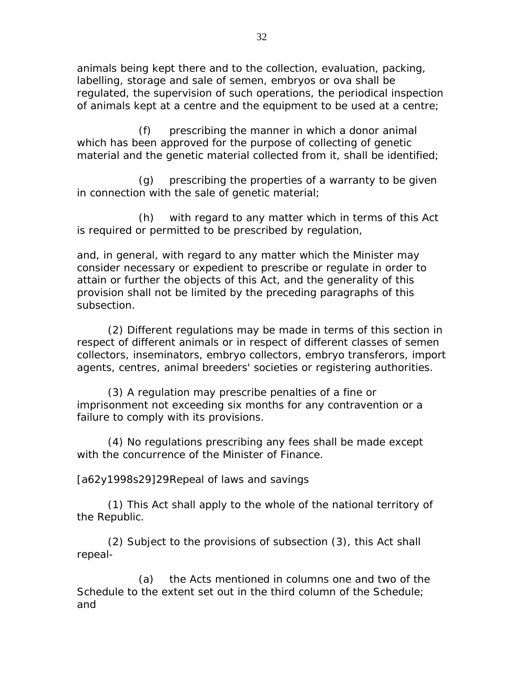animals being kept there and to the collection, evaluation, packing, labelling, storage and sale of semen, embryos or ova shall be regulated, the supervision of such operations, the periodical inspection of animals kept at a centre and the equipment to be used at a centre;

 (f) prescribing the manner in which a donor animal which has been approved for the purpose of collecting of genetic material and the genetic material collected from it, shall be identified;

 (g) prescribing the properties of a warranty to be given in connection with the sale of genetic material;

 (h) with regard to any matter which in terms of this Act is required or permitted to be prescribed by regulation,

and, in general, with regard to any matter which the Minister may consider necessary or expedient to prescribe or regulate in order to attain or further the objects of this Act, and the generality of this provision shall not be limited by the preceding paragraphs of this subsection.

 (2) Different regulations may be made in terms of this section in respect of different animals or in respect of different classes of semen collectors, inseminators, embryo collectors, embryo transferors, import agents, centres, animal breeders' societies or registering authorities.

 (3) A regulation may prescribe penalties of a fine or imprisonment not exceeding six months for any contravention or a failure to comply with its provisions.

 (4) No regulations prescribing any fees shall be made except with the concurrence of the Minister of Finance.

[a62y1998s29]29 Repeal of laws and savings

 (1) This Act shall apply to the whole of the national territory of the Republic.

 (2) Subject to the provisions of subsection (3), this Act shall repeal-

 (a) the Acts mentioned in columns one and two of the Schedule to the extent set out in the third column of the Schedule; and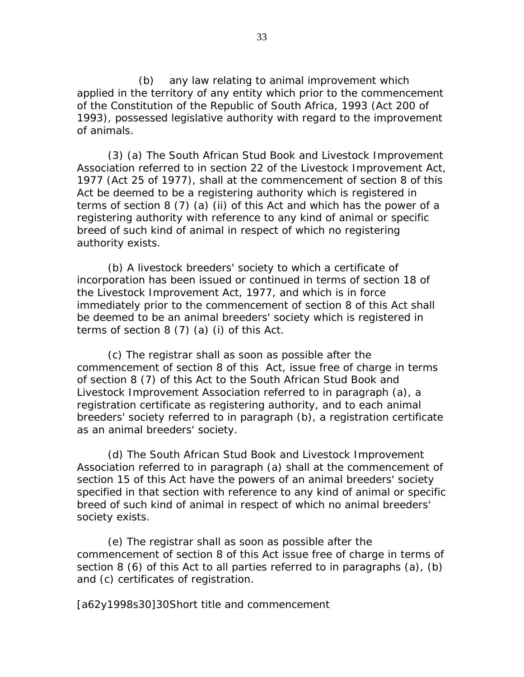(b) any law relating to animal improvement which applied in the territory of any entity which prior to the commencement of the Constitution of the Republic of South Africa, 1993 (Act 200 of 1993), possessed legislative authority with regard to the improvement of animals.

 (3) (a) The South African Stud Book and Livestock Improvement Association referred to in section 22 of the Livestock Improvement Act, 1977 (Act 25 of 1977), shall at the commencement of section 8 of this Act be deemed to be a registering authority which is registered in terms of section 8 (7) (a) (ii) of this Act and which has the power of a registering authority with reference to any kind of animal or specific breed of such kind of animal in respect of which no registering authority exists.

 (b) A livestock breeders' society to which a certificate of incorporation has been issued or continued in terms of section 18 of the Livestock Improvement Act, 1977, and which is in force immediately prior to the commencement of section 8 of this Act shall be deemed to be an animal breeders' society which is registered in terms of section 8 (7) (a) (i) of this Act.

 (c) The registrar shall as soon as possible after the commencement of section 8 of this Act, issue free of charge in terms of section 8 (7) of this Act to the South African Stud Book and Livestock Improvement Association referred to in paragraph (a), a registration certificate as registering authority, and to each animal breeders' society referred to in paragraph (b), a registration certificate as an animal breeders' society.

 (d) The South African Stud Book and Livestock Improvement Association referred to in paragraph (a) shall at the commencement of section 15 of this Act have the powers of an animal breeders' society specified in that section with reference to any kind of animal or specific breed of such kind of animal in respect of which no animal breeders' society exists.

 (e) The registrar shall as soon as possible after the commencement of section 8 of this Act issue free of charge in terms of section 8 (6) of this Act to all parties referred to in paragraphs (a), (b) and (c) certificates of registration.

[a62y1998s30]30 Short title and commencement